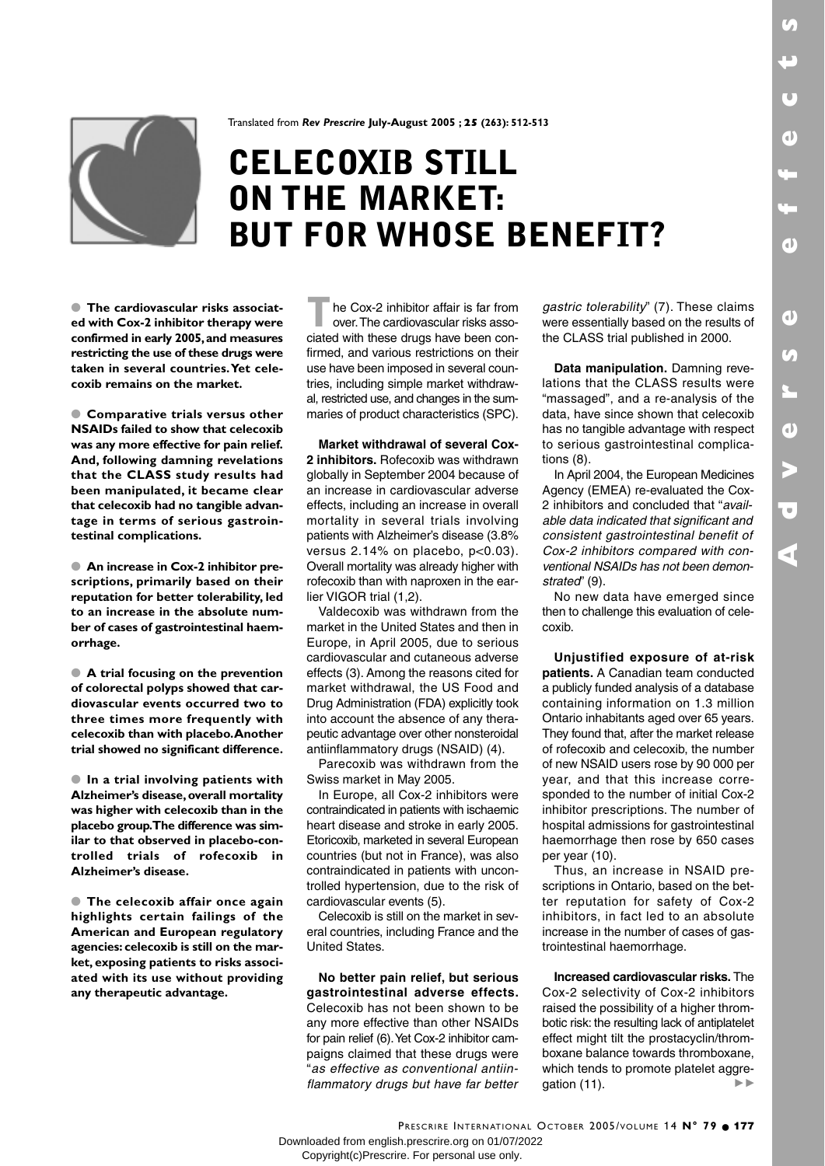

Translated from *Rev Prescrire* **July-August 2005 ; 25 (263): 512-513**

## **CELECOXIB STILL ON THE MARKET: BUT FOR WHOSE BENEFIT?**

● **The cardiovascular risks associated with Cox-2 inhibitor therapy were confirmed in early 2005,and measures restricting the use of these drugs were taken in several countries.Yet celecoxib remains on the market.**

● **Comparative trials versus other NSAIDs failed to show that celecoxib was any more effective for pain relief. And, following damning revelations that the CLASS study results had been manipulated, it became clear that celecoxib had no tangible advantage in terms of serious gastrointestinal complications.**

● **An increase in Cox-2 inhibitor prescriptions, primarily based on their reputation for better tolerability, led to an increase in the absolute number of cases of gastrointestinal haemorrhage.**

● **A trial focusing on the prevention of colorectal polyps showed that cardiovascular events occurred two to three times more frequently with celecoxib than with placebo.Another trial showed no significant difference.**

● **In a trial involving patients with Alzheimer's disease, overall mortality was higher with celecoxib than in the placebo group.The difference was similar to that observed in placebo-controlled trials of rofecoxib in Alzheimer's disease.**

● **The celecoxib affair once again highlights certain failings of the American and European regulatory agencies: celecoxib is still on the market, exposing patients to risks associated with its use without providing any therapeutic advantage.**

**T**he Cox-2 inhibitor affair is far from over.The cardiovascular risks associated with these drugs have been confirmed, and various restrictions on their use have been imposed in several countries, including simple market withdrawal, restricted use, and changes in the summaries of product characteristics (SPC).

**Market withdrawal of several Cox-2 inhibitors.** Rofecoxib was withdrawn globally in September 2004 because of an increase in cardiovascular adverse effects, including an increase in overall mortality in several trials involving patients with Alzheimer's disease (3.8% versus 2.14% on placebo, p<0.03). Overall mortality was already higher with rofecoxib than with naproxen in the earlier VIGOR trial (1,2).

Valdecoxib was withdrawn from the market in the United States and then in Europe, in April 2005, due to serious cardiovascular and cutaneous adverse effects (3). Among the reasons cited for market withdrawal, the US Food and Drug Administration (FDA) explicitly took into account the absence of any therapeutic advantage over other nonsteroidal antiinflammatory drugs (NSAID) (4).

Parecoxib was withdrawn from the Swiss market in May 2005.

In Europe, all Cox-2 inhibitors were contraindicated in patients with ischaemic heart disease and stroke in early 2005. Etoricoxib, marketed in several European countries (but not in France), was also contraindicated in patients with uncontrolled hypertension, due to the risk of cardiovascular events (5).

Celecoxib is still on the market in several countries, including France and the United States.

**No better pain relief, but serious gastrointestinal adverse effects.** Celecoxib has not been shown to be any more effective than other NSAIDs for pain relief (6). Yet Cox-2 inhibitor campaigns claimed that these drugs were "as effective as conventional antiinflammatory drugs but have far better

gastric tolerability" (7). These claims were essentially based on the results of the CLASS trial published in 2000.

**Data manipulation.** Damning revelations that the CLASS results were "massaged", and a re-analysis of the data, have since shown that celecoxib has no tangible advantage with respect to serious gastrointestinal complications (8).

In April 2004, the European Medicines Agency (EMEA) re-evaluated the Cox-2 inhibitors and concluded that "available data indicated that significant and consistent gastrointestinal benefit of Cox-2 inhibitors compared with conventional NSAIDs has not been demonstrated" (9).

No new data have emerged since then to challenge this evaluation of celecoxib.

**Unjustified exposure of at-risk patients.** A Canadian team conducted a publicly funded analysis of a database containing information on 1.3 million Ontario inhabitants aged over 65 years. They found that, after the market release of rofecoxib and celecoxib, the number of new NSAID users rose by 90 000 per year, and that this increase corresponded to the number of initial Cox-2 inhibitor prescriptions. The number of hospital admissions for gastrointestinal haemorrhage then rose by 650 cases per year (10).

Thus, an increase in NSAID prescriptions in Ontario, based on the better reputation for safety of Cox-2 inhibitors, in fact led to an absolute increase in the number of cases of gastrointestinal haemorrhage.

**Increased cardiovascular risks.** The Cox-2 selectivity of Cox-2 inhibitors raised the possibility of a higher thrombotic risk: the resulting lack of antiplatelet effect might tilt the prostacyclin/thromboxane balance towards thromboxane, which tends to promote platelet aggregation (11).  $\blacktriangleright\blacktriangleright$ 

Copyright(c)Prescrire. For personal use only.